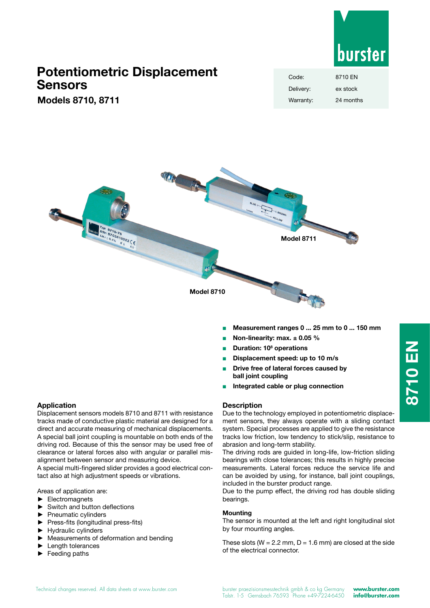

## **Potentiometric Displacement Sensors**

**Models 8710, 8711**

| Code:     | 8710 FN   |
|-----------|-----------|
| Delivery: | ex stock  |
| Warranty: | 24 months |



- <sup>Q</sup> **Measurement ranges 0 ... 25 mm to 0 ... 150 mm**
- <sup>Q</sup> **Non-linearity: max. ± 0.05 %**
- <sup>Q</sup> **Duration: 108 operations**
- <sup>Q</sup> **Displacement speed: up to 10 m/s**
- <sup>Q</sup> **Drive free of lateral forces caused by ball joint coupling**
- <sup>Q</sup> **Integrated cable or plug connection**

#### **Application**

Displacement sensors models 8710 and 8711 with resistance tracks made of conductive plastic material are designed for a direct and accurate measuring of mechanical displacements. A special ball joint coupling is mountable on both ends of the driving rod. Because of this the sensor may be used free of clearance or lateral forces also with angular or parallel misalignment between sensor and measuring device.

A special multi-fingered slider provides a good electrical contact also at high adjustment speeds or vibrations.

Areas of application are:

- ► Electromagnets
- Switch and button deflections
- Pneumatic cylinders
- ► Press-fits (longitudinal press-fits)
- ► Hydraulic cylinders
- Measurements of deformation and bending
- Length tolerances
- ► Feeding paths

### **Description**

Due to the technology employed in potentiometric displacement sensors, they always operate with a sliding contact system. Special processes are applied to give the resistance tracks low friction, low tendency to stick/slip, resistance to abrasion and long-term stability.

The driving rods are guided in long-life, low-friction sliding bearings with close tolerances; this results in highly precise measurements. Lateral forces reduce the service life and can be avoided by using, for instance, ball joint couplings, included in the burster product range.

Due to the pump effect, the driving rod has double sliding bearings.

#### **Mounting**

The sensor is mounted at the left and right longitudinal slot by four mounting angles.

These slots ( $W = 2.2$  mm,  $D = 1.6$  mm) are closed at the side of the electrical connector.